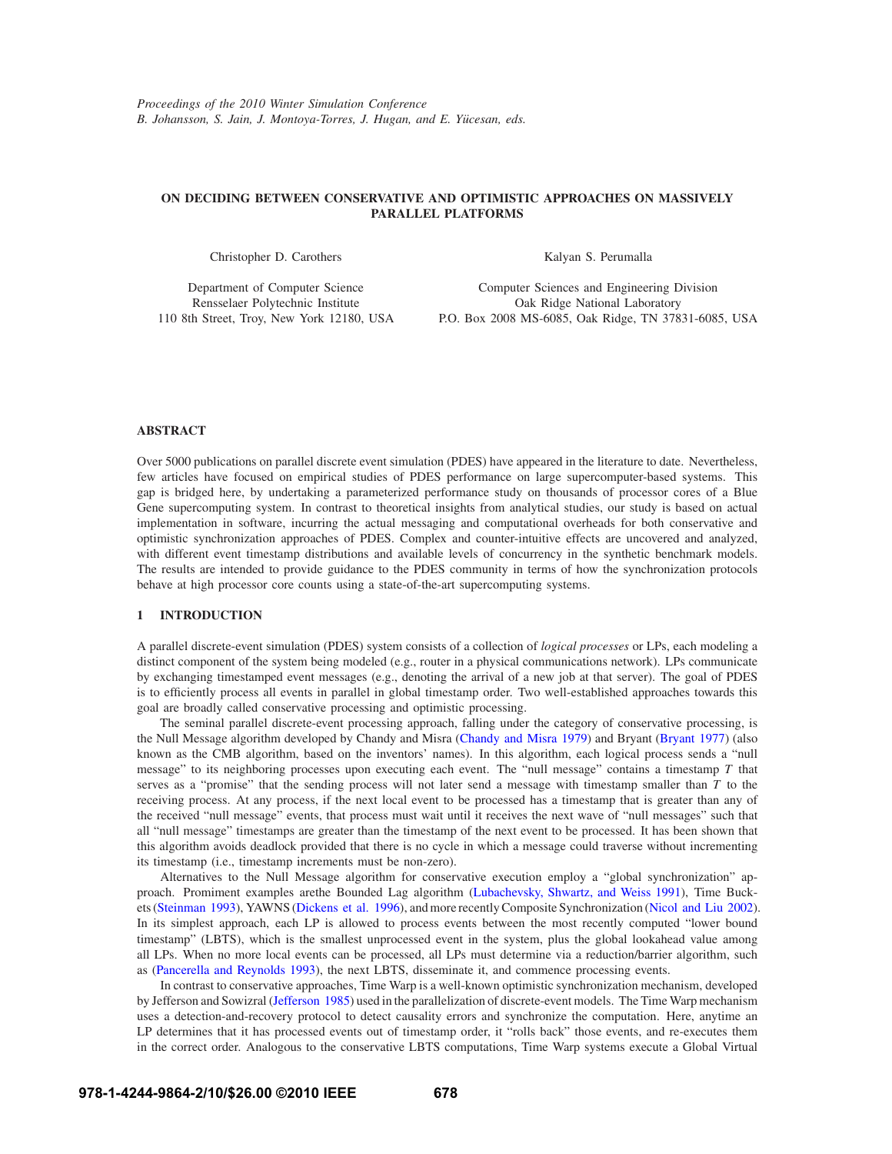# **ON DECIDING BETWEEN CONSERVATIVE AND OPTIMISTIC APPROACHES ON MASSIVELY PARALLEL PLATFORMS**

Christopher D. Carothers

Kalyan S. Perumalla

Department of Computer Science Rensselaer Polytechnic Institute 110 8th Street, Troy, New York 12180, USA

Computer Sciences and Engineering Division Oak Ridge National Laboratory P.O. Box 2008 MS-6085, Oak Ridge, TN 37831-6085, USA

## **ABSTRACT**

Over 5000 publications on parallel discrete event simulation (PDES) have appeared in the literature to date. Nevertheless, few articles have focused on empirical studies of PDES performance on large supercomputer-based systems. This gap is bridged here, by undertaking a parameterized performance study on thousands of processor cores of a Blue Gene supercomputing system. In contrast to theoretical insights from analytical studies, our study is based on actual implementation in software, incurring the actual messaging and computational overheads for both conservative and optimistic synchronization approaches of PDES. Complex and counter-intuitive effects are uncovered and analyzed, with different event timestamp distributions and available levels of concurrency in the synthetic benchmark models. The results are intended to provide guidance to the PDES community in terms of how the synchronization protocols behave at high processor core counts using a state-of-the-art supercomputing systems.

## **1 INTRODUCTION**

A parallel discrete-event simulation (PDES) system consists of a collection of *logical processes* or LPs, each modeling a distinct component of the system being modeled (e.g., router in a physical communications network). LPs communicate by exchanging timestamped event messages (e.g., denoting the arrival of a new job at that server). The goal of PDES is to efficiently process all events in parallel in global timestamp order. Two well-established approaches towards this goal are broadly called conservative processing and optimistic processing.

The seminal parallel discrete-event processing approach, falling under the category of conservative processing, is the Null Message algorithm developed by Chandy and Misra (Chandy and Misra 1979) and Bryant (Bryant 1977) (also known as the CMB algorithm, based on the inventors' names). In this algorithm, each logical process sends a "null message" to its neighboring processes upon executing each event. The "null message" contains a timestamp *T* that serves as a "promise" that the sending process will not later send a message with timestamp smaller than *T* to the receiving process. At any process, if the next local event to be processed has a timestamp that is greater than any of the received "null message" events, that process must wait until it receives the next wave of "null messages" such that all "null message" timestamps are greater than the timestamp of the next event to be processed. It has been shown that this algorithm avoids deadlock provided that there is no cycle in which a message could traverse without incrementing its timestamp (i.e., timestamp increments must be non-zero).

Alternatives to the Null Message algorithm for conservative execution employ a "global synchronization" approach. Promiment examples arethe Bounded Lag algorithm (Lubachevsky, Shwartz, and Weiss 1991), Time Buckets (Steinman 1993), YAWNS (Dickens et al. 1996), and more recently Composite Synchronization (Nicol and Liu 2002). In its simplest approach, each LP is allowed to process events between the most recently computed "lower bound timestamp" (LBTS), which is the smallest unprocessed event in the system, plus the global lookahead value among all LPs. When no more local events can be processed, all LPs must determine via a reduction/barrier algorithm, such as (Pancerella and Reynolds 1993), the next LBTS, disseminate it, and commence processing events.

In contrast to conservative approaches, Time Warp is a well-known optimistic synchronization mechanism, developed by Jefferson and Sowizral (Jefferson 1985) used in the parallelization of discrete-event models. The Time Warp mechanism uses a detection-and-recovery protocol to detect causality errors and synchronize the computation. Here, anytime an LP determines that it has processed events out of timestamp order, it "rolls back" those events, and re-executes them in the correct order. Analogous to the conservative LBTS computations, Time Warp systems execute a Global Virtual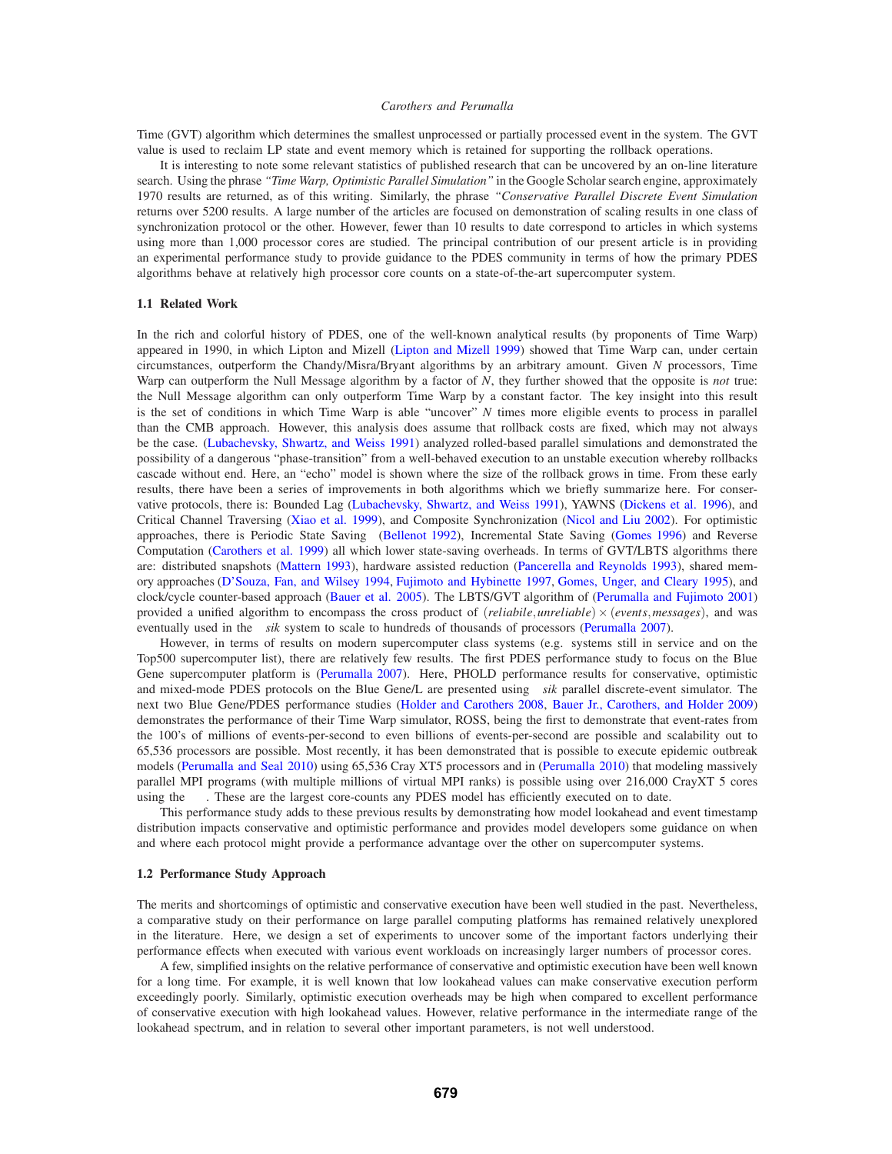Time (GVT) algorithm which determines the smallest unprocessed or partially processed event in the system. The GVT value is used to reclaim LP state and event memory which is retained for supporting the rollback operations.

It is interesting to note some relevant statistics of published research that can be uncovered by an on-line literature search. Using the phrase *"Time Warp, Optimistic Parallel Simulation"* in the Google Scholar search engine, approximately 1970 results are returned, as of this writing. Similarly, the phrase *"Conservative Parallel Discrete Event Simulation* returns over 5200 results. A large number of the articles are focused on demonstration of scaling results in one class of synchronization protocol or the other. However, fewer than 10 results to date correspond to articles in which systems using more than 1,000 processor cores are studied. The principal contribution of our present article is in providing an experimental performance study to provide guidance to the PDES community in terms of how the primary PDES algorithms behave at relatively high processor core counts on a state-of-the-art supercomputer system.

## **1.1 Related Work**

In the rich and colorful history of PDES, one of the well-known analytical results (by proponents of Time Warp) appeared in 1990, in which Lipton and Mizell (Lipton and Mizell 1999) showed that Time Warp can, under certain circumstances, outperform the Chandy/Misra/Bryant algorithms by an arbitrary amount. Given *N* processors, Time Warp can outperform the Null Message algorithm by a factor of *N*, they further showed that the opposite is *not* true: the Null Message algorithm can only outperform Time Warp by a constant factor. The key insight into this result is the set of conditions in which Time Warp is able "uncover" *N* times more eligible events to process in parallel than the CMB approach. However, this analysis does assume that rollback costs are fixed, which may not always be the case. (Lubachevsky, Shwartz, and Weiss 1991) analyzed rolled-based parallel simulations and demonstrated the possibility of a dangerous "phase-transition" from a well-behaved execution to an unstable execution whereby rollbacks cascade without end. Here, an "echo" model is shown where the size of the rollback grows in time. From these early results, there have been a series of improvements in both algorithms which we briefly summarize here. For conservative protocols, there is: Bounded Lag (Lubachevsky, Shwartz, and Weiss 1991), YAWNS (Dickens et al. 1996), and Critical Channel Traversing (Xiao et al. 1999), and Composite Synchronization (Nicol and Liu 2002). For optimistic approaches, there is Periodic State Saving (Bellenot 1992), Incremental State Saving (Gomes 1996) and Reverse Computation (Carothers et al. 1999) all which lower state-saving overheads. In terms of GVT/LBTS algorithms there are: distributed snapshots (Mattern 1993), hardware assisted reduction (Pancerella and Reynolds 1993), shared memory approaches (D'Souza, Fan, and Wilsey 1994, Fujimoto and Hybinette 1997, Gomes, Unger, and Cleary 1995), and clock/cycle counter-based approach (Bauer et al. 2005). The LBTS/GVT algorithm of (Perumalla and Fujimoto 2001) provided a unified algorithm to encompass the cross product of (*reliabile*,*unreliable*)×(*events*,*messages*), and was eventually used in the *µsik* system to scale to hundreds of thousands of processors (Perumalla 2007).

However, in terms of results on modern supercomputer class systems (e.g. systems still in service and on the Top500 supercomputer list), there are relatively few results. The first PDES performance study to focus on the Blue Gene supercomputer platform is (Perumalla 2007). Here, PHOLD performance results for conservative, optimistic and mixed-mode PDES protocols on the Blue Gene/L are presented using µ*sik* parallel discrete-event simulator. The next two Blue Gene/PDES performance studies (Holder and Carothers 2008, Bauer Jr., Carothers, and Holder 2009) demonstrates the performance of their Time Warp simulator, ROSS, being the first to demonstrate that event-rates from the 100's of millions of events-per-second to even billions of events-per-second are possible and scalability out to 65,536 processors are possible. Most recently, it has been demonstrated that is possible to execute epidemic outbreak models (Perumalla and Seal 2010) using 65,536 Cray XT5 processors and in (Perumalla 2010) that modeling massively parallel MPI programs (with multiple millions of virtual MPI ranks) is possible using over 216,000 CrayXT 5 cores using the  $\mu \pi$ . These are the largest core-counts any PDES model has efficiently executed on to date.

This performance study adds to these previous results by demonstrating how model lookahead and event timestamp distribution impacts conservative and optimistic performance and provides model developers some guidance on when and where each protocol might provide a performance advantage over the other on supercomputer systems.

### **1.2 Performance Study Approach**

The merits and shortcomings of optimistic and conservative execution have been well studied in the past. Nevertheless, a comparative study on their performance on large parallel computing platforms has remained relatively unexplored in the literature. Here, we design a set of experiments to uncover some of the important factors underlying their performance effects when executed with various event workloads on increasingly larger numbers of processor cores.

A few, simplified insights on the relative performance of conservative and optimistic execution have been well known for a long time. For example, it is well known that low lookahead values can make conservative execution perform exceedingly poorly. Similarly, optimistic execution overheads may be high when compared to excellent performance of conservative execution with high lookahead values. However, relative performance in the intermediate range of the lookahead spectrum, and in relation to several other important parameters, is not well understood.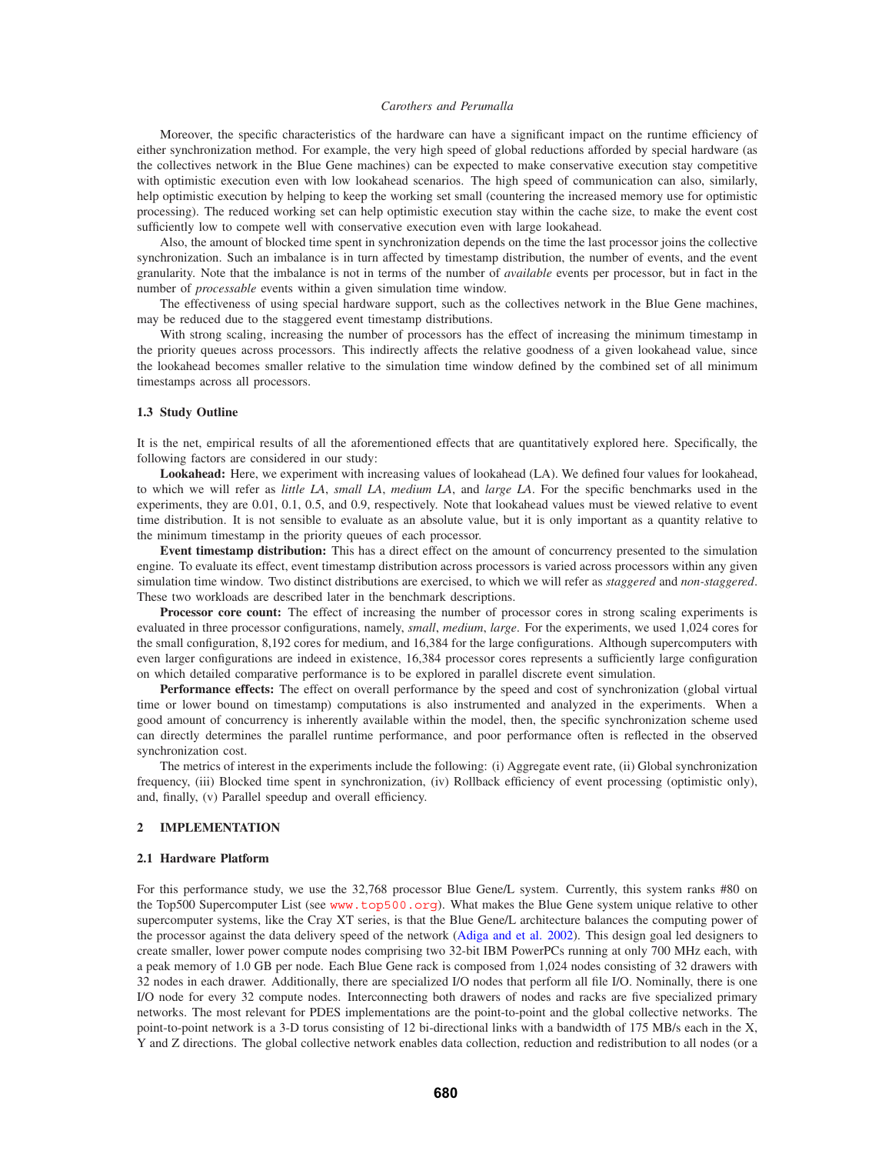Moreover, the specific characteristics of the hardware can have a significant impact on the runtime efficiency of either synchronization method. For example, the very high speed of global reductions afforded by special hardware (as the collectives network in the Blue Gene machines) can be expected to make conservative execution stay competitive with optimistic execution even with low lookahead scenarios. The high speed of communication can also, similarly, help optimistic execution by helping to keep the working set small (countering the increased memory use for optimistic processing). The reduced working set can help optimistic execution stay within the cache size, to make the event cost sufficiently low to compete well with conservative execution even with large lookahead.

Also, the amount of blocked time spent in synchronization depends on the time the last processor joins the collective synchronization. Such an imbalance is in turn affected by timestamp distribution, the number of events, and the event granularity. Note that the imbalance is not in terms of the number of *available* events per processor, but in fact in the number of *processable* events within a given simulation time window.

The effectiveness of using special hardware support, such as the collectives network in the Blue Gene machines, may be reduced due to the staggered event timestamp distributions.

With strong scaling, increasing the number of processors has the effect of increasing the minimum timestamp in the priority queues across processors. This indirectly affects the relative goodness of a given lookahead value, since the lookahead becomes smaller relative to the simulation time window defined by the combined set of all minimum timestamps across all processors.

## **1.3 Study Outline**

It is the net, empirical results of all the aforementioned effects that are quantitatively explored here. Specifically, the following factors are considered in our study:

**Lookahead:** Here, we experiment with increasing values of lookahead (LA). We defined four values for lookahead, to which we will refer as *little LA*, *small LA*, *medium LA*, and *large LA*. For the specific benchmarks used in the experiments, they are 0.01, 0.1, 0.5, and 0.9, respectively. Note that lookahead values must be viewed relative to event time distribution. It is not sensible to evaluate as an absolute value, but it is only important as a quantity relative to the minimum timestamp in the priority queues of each processor.

**Event timestamp distribution:** This has a direct effect on the amount of concurrency presented to the simulation engine. To evaluate its effect, event timestamp distribution across processors is varied across processors within any given simulation time window. Two distinct distributions are exercised, to which we will refer as *staggered* and *non-staggered*. These two workloads are described later in the benchmark descriptions.

**Processor core count:** The effect of increasing the number of processor cores in strong scaling experiments is evaluated in three processor configurations, namely, *small*, *medium*, *large*. For the experiments, we used 1,024 cores for the small configuration, 8,192 cores for medium, and 16,384 for the large configurations. Although supercomputers with even larger configurations are indeed in existence, 16,384 processor cores represents a sufficiently large configuration on which detailed comparative performance is to be explored in parallel discrete event simulation.

**Performance effects:** The effect on overall performance by the speed and cost of synchronization (global virtual time or lower bound on timestamp) computations is also instrumented and analyzed in the experiments. When a good amount of concurrency is inherently available within the model, then, the specific synchronization scheme used can directly determines the parallel runtime performance, and poor performance often is reflected in the observed synchronization cost.

The metrics of interest in the experiments include the following: (i) Aggregate event rate, (ii) Global synchronization frequency, (iii) Blocked time spent in synchronization, (iv) Rollback efficiency of event processing (optimistic only), and, finally, (v) Parallel speedup and overall efficiency.

## **2 IMPLEMENTATION**

### **2.1 Hardware Platform**

For this performance study, we use the 32,768 processor Blue Gene/L system. Currently, this system ranks #80 on the Top500 Supercomputer List (see www.top500.org). What makes the Blue Gene system unique relative to other supercomputer systems, like the Cray XT series, is that the Blue Gene/L architecture balances the computing power of the processor against the data delivery speed of the network (Adiga and et al. 2002). This design goal led designers to create smaller, lower power compute nodes comprising two 32-bit IBM PowerPCs running at only 700 MHz each, with a peak memory of 1.0 GB per node. Each Blue Gene rack is composed from 1,024 nodes consisting of 32 drawers with 32 nodes in each drawer. Additionally, there are specialized I/O nodes that perform all file I/O. Nominally, there is one I/O node for every 32 compute nodes. Interconnecting both drawers of nodes and racks are five specialized primary networks. The most relevant for PDES implementations are the point-to-point and the global collective networks. The point-to-point network is a 3-D torus consisting of 12 bi-directional links with a bandwidth of 175 MB/s each in the X, Y and Z directions. The global collective network enables data collection, reduction and redistribution to all nodes (or a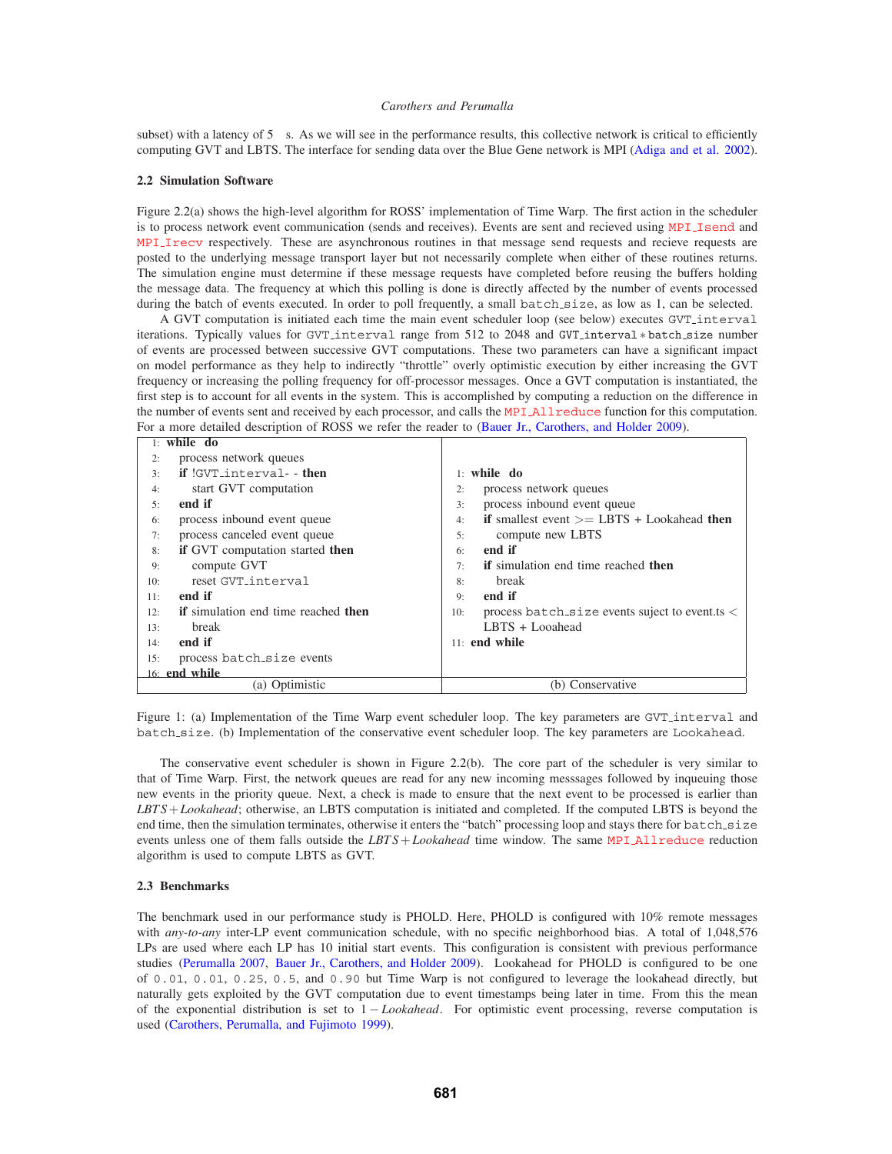subset) with a latency of  $5 \mu s$ . As we will see in the performance results, this collective network is critical to efficiently computing GVT and LBTS. The interface for sending data over the Blue Gene network is MPI (Adiga and et al. 2002).

#### **2.2 Simulation Software**

Figure 2.2(a) shows the high-level algorithm for ROSS' implementation of Time Warp. The first action in the scheduler is to process network event communication (sends and receives). Events are sent and recieved using MPI Isend and MPI Irecv respectively. These are asynchronous routines in that message send requests and recieve requests are posted to the underlying message transport layer but not necessarily complete when either of these routines returns. The simulation engine must determine if these message requests have completed before reusing the buffers holding the message data. The frequency at which this polling is done is directly affected by the number of events processed during the batch of events executed. In order to poll frequently, a small batch size, as low as 1, can be selected.

A GVT computation is initiated each time the main event scheduler loop (see below) executes GVT interval iterations. Typically values for GVT interval range from 512 to 2048 and GVT interval ∗ batch size number of events are processed between successive GVT computations. These two parameters can have a significant impact on model performance as they help to indirectly "throttle" overly optimistic execution by either increasing the GVT frequency or increasing the polling frequency for off-processor messages. Once a GVT computation is instantiated, the first step is to account for all events in the system. This is accomplished by computing a reduction on the difference in the number of events sent and received by each processor, and calls the MPI Allreduce function for this computation. For a more detailed description of ROSS we refer the reader to (Bauer Jr., Carothers, and Holder 2009).

| $1:$ while do                                             |
|-----------------------------------------------------------|
| process network queues<br>2:                              |
| process inbound event queue<br>3:                         |
| if smallest event $>=$ LBTS + Lookahead then<br>4:        |
| compute new LBTS<br>5:                                    |
| end if<br>6:                                              |
| <b>if</b> simulation end time reached <b>then</b><br>7:   |
| break<br>8:                                               |
| end if<br>9:                                              |
| process batch size events suject to event ts $\lt$<br>10: |
| LBTS + Looahead                                           |
| $11:$ end while                                           |
|                                                           |
|                                                           |
| (b) Conservative                                          |
|                                                           |

Figure 1: (a) Implementation of the Time Warp event scheduler loop. The key parameters are GVT interval and batch size. (b) Implementation of the conservative event scheduler loop. The key parameters are Lookahead.

The conservative event scheduler is shown in Figure 2.2(b). The core part of the scheduler is very similar to that of Time Warp. First, the network queues are read for any new incoming messsages followed by inqueuing those new events in the priority queue. Next, a check is made to ensure that the next event to be processed is earlier than *LBT S*+*Lookahead*; otherwise, an LBTS computation is initiated and completed. If the computed LBTS is beyond the end time, then the simulation terminates, otherwise it enters the "batch" processing loop and stays there for batch\_size events unless one of them falls outside the *LBT S*+*Lookahead* time window. The same MPI Allreduce reduction algorithm is used to compute LBTS as GVT.

#### **2.3 Benchmarks**

The benchmark used in our performance study is PHOLD. Here, PHOLD is configured with 10% remote messages with *any-to-any* inter-LP event communication schedule, with no specific neighborhood bias. A total of 1,048,576 LPs are used where each LP has 10 initial start events. This configuration is consistent with previous performance studies (Perumalla 2007, Bauer Jr., Carothers, and Holder 2009). Lookahead for PHOLD is configured to be one of 0.01, 0.01, 0.25, 0.5, and 0.90 but Time Warp is not configured to leverage the lookahead directly, but naturally gets exploited by the GVT computation due to event timestamps being later in time. From this the mean of the exponential distribution is set to 1 − *Lookahead*. For optimistic event processing, reverse computation is used (Carothers, Perumalla, and Fujimoto 1999).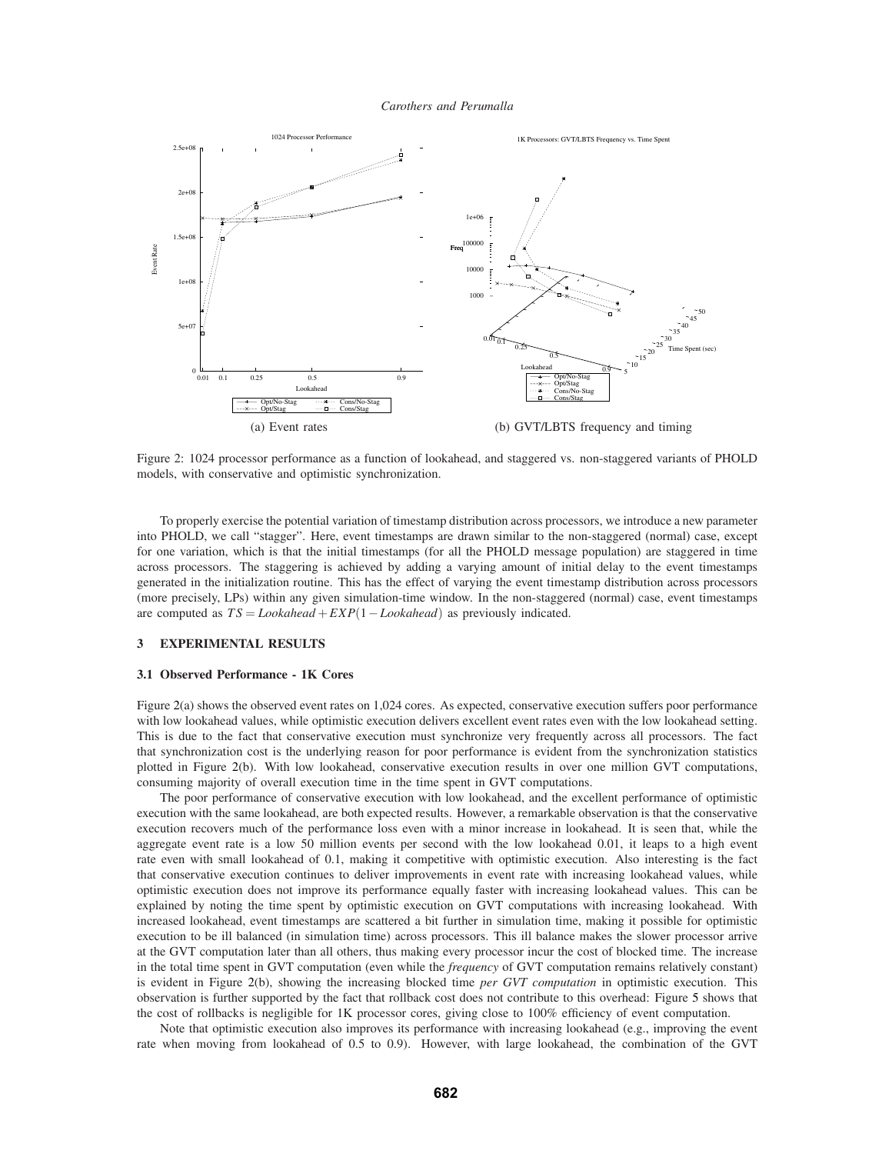

Figure 2: 1024 processor performance as a function of lookahead, and staggered vs. non-staggered variants of PHOLD models, with conservative and optimistic synchronization.

To properly exercise the potential variation of timestamp distribution across processors, we introduce a new parameter into PHOLD, we call "stagger". Here, event timestamps are drawn similar to the non-staggered (normal) case, except for one variation, which is that the initial timestamps (for all the PHOLD message population) are staggered in time across processors. The staggering is achieved by adding a varying amount of initial delay to the event timestamps generated in the initialization routine. This has the effect of varying the event timestamp distribution across processors (more precisely, LPs) within any given simulation-time window. In the non-staggered (normal) case, event timestamps are computed as *T S* = *Lookahead* +*EXP*(1−*Lookahead*) as previously indicated.

## **3 EXPERIMENTAL RESULTS**

## **3.1 Observed Performance - 1K Cores**

Figure 2(a) shows the observed event rates on 1,024 cores. As expected, conservative execution suffers poor performance with low lookahead values, while optimistic execution delivers excellent event rates even with the low lookahead setting. This is due to the fact that conservative execution must synchronize very frequently across all processors. The fact that synchronization cost is the underlying reason for poor performance is evident from the synchronization statistics plotted in Figure 2(b). With low lookahead, conservative execution results in over one million GVT computations, consuming majority of overall execution time in the time spent in GVT computations.

The poor performance of conservative execution with low lookahead, and the excellent performance of optimistic execution with the same lookahead, are both expected results. However, a remarkable observation is that the conservative execution recovers much of the performance loss even with a minor increase in lookahead. It is seen that, while the aggregate event rate is a low 50 million events per second with the low lookahead 0.01, it leaps to a high event rate even with small lookahead of 0.1, making it competitive with optimistic execution. Also interesting is the fact that conservative execution continues to deliver improvements in event rate with increasing lookahead values, while optimistic execution does not improve its performance equally faster with increasing lookahead values. This can be explained by noting the time spent by optimistic execution on GVT computations with increasing lookahead. With increased lookahead, event timestamps are scattered a bit further in simulation time, making it possible for optimistic execution to be ill balanced (in simulation time) across processors. This ill balance makes the slower processor arrive at the GVT computation later than all others, thus making every processor incur the cost of blocked time. The increase in the total time spent in GVT computation (even while the *frequency* of GVT computation remains relatively constant) is evident in Figure 2(b), showing the increasing blocked time *per GVT computation* in optimistic execution. This observation is further supported by the fact that rollback cost does not contribute to this overhead: Figure 5 shows that the cost of rollbacks is negligible for 1K processor cores, giving close to 100% efficiency of event computation.

Note that optimistic execution also improves its performance with increasing lookahead (e.g., improving the event rate when moving from lookahead of 0.5 to 0.9). However, with large lookahead, the combination of the GVT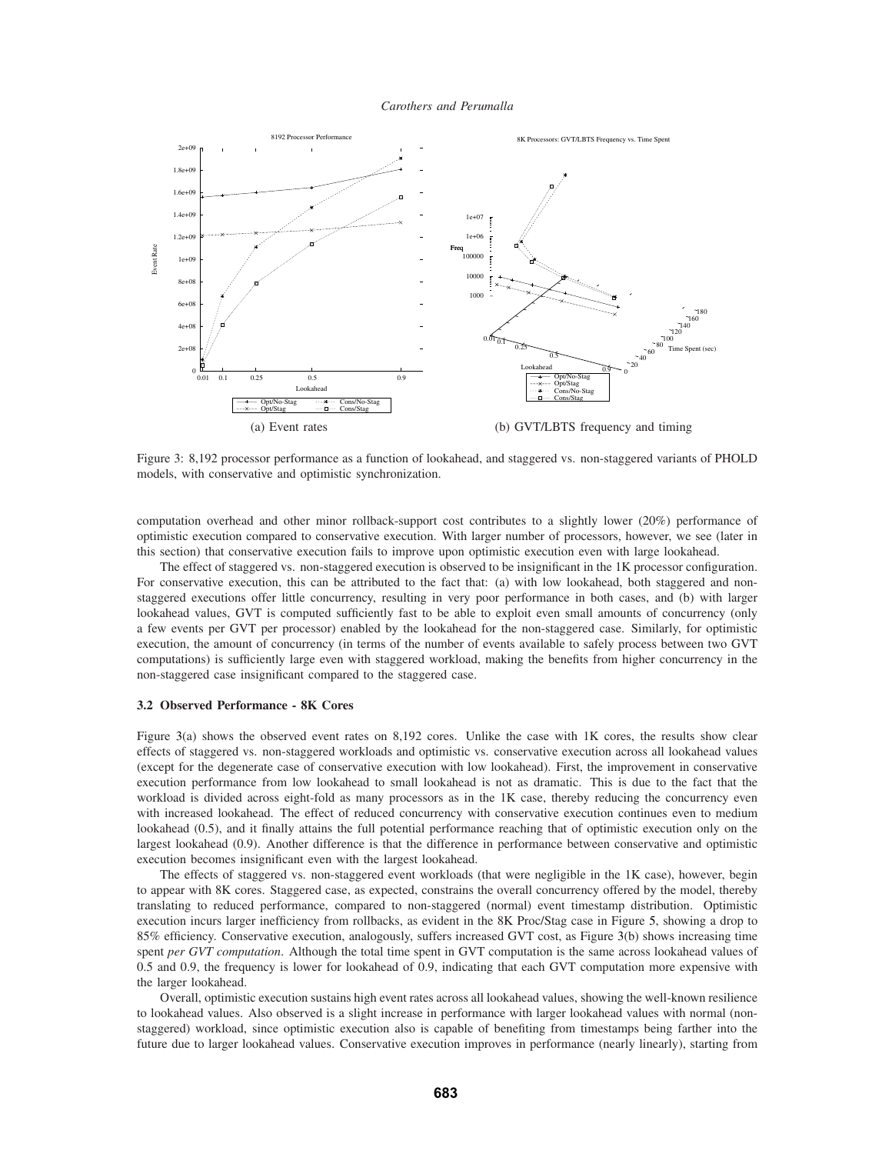

Figure 3: 8,192 processor performance as a function of lookahead, and staggered vs. non-staggered variants of PHOLD models, with conservative and optimistic synchronization.

computation overhead and other minor rollback-support cost contributes to a slightly lower (20%) performance of optimistic execution compared to conservative execution. With larger number of processors, however, we see (later in this section) that conservative execution fails to improve upon optimistic execution even with large lookahead.

The effect of staggered vs. non-staggered execution is observed to be insignificant in the 1K processor configuration. For conservative execution, this can be attributed to the fact that: (a) with low lookahead, both staggered and nonstaggered executions offer little concurrency, resulting in very poor performance in both cases, and (b) with larger lookahead values, GVT is computed sufficiently fast to be able to exploit even small amounts of concurrency (only a few events per GVT per processor) enabled by the lookahead for the non-staggered case. Similarly, for optimistic execution, the amount of concurrency (in terms of the number of events available to safely process between two GVT computations) is sufficiently large even with staggered workload, making the benefits from higher concurrency in the non-staggered case insignificant compared to the staggered case.

## **3.2 Observed Performance - 8K Cores**

Figure 3(a) shows the observed event rates on 8,192 cores. Unlike the case with 1K cores, the results show clear effects of staggered vs. non-staggered workloads and optimistic vs. conservative execution across all lookahead values (except for the degenerate case of conservative execution with low lookahead). First, the improvement in conservative execution performance from low lookahead to small lookahead is not as dramatic. This is due to the fact that the workload is divided across eight-fold as many processors as in the 1K case, thereby reducing the concurrency even with increased lookahead. The effect of reduced concurrency with conservative execution continues even to medium lookahead (0.5), and it finally attains the full potential performance reaching that of optimistic execution only on the largest lookahead (0.9). Another difference is that the difference in performance between conservative and optimistic execution becomes insignificant even with the largest lookahead.

The effects of staggered vs. non-staggered event workloads (that were negligible in the 1K case), however, begin to appear with 8K cores. Staggered case, as expected, constrains the overall concurrency offered by the model, thereby translating to reduced performance, compared to non-staggered (normal) event timestamp distribution. Optimistic execution incurs larger inefficiency from rollbacks, as evident in the 8K Proc/Stag case in Figure 5, showing a drop to 85% efficiency. Conservative execution, analogously, suffers increased GVT cost, as Figure 3(b) shows increasing time spent *per GVT computation*. Although the total time spent in GVT computation is the same across lookahead values of 0.5 and 0.9, the frequency is lower for lookahead of 0.9, indicating that each GVT computation more expensive with the larger lookahead.

Overall, optimistic execution sustains high event rates across all lookahead values, showing the well-known resilience to lookahead values. Also observed is a slight increase in performance with larger lookahead values with normal (nonstaggered) workload, since optimistic execution also is capable of benefiting from timestamps being farther into the future due to larger lookahead values. Conservative execution improves in performance (nearly linearly), starting from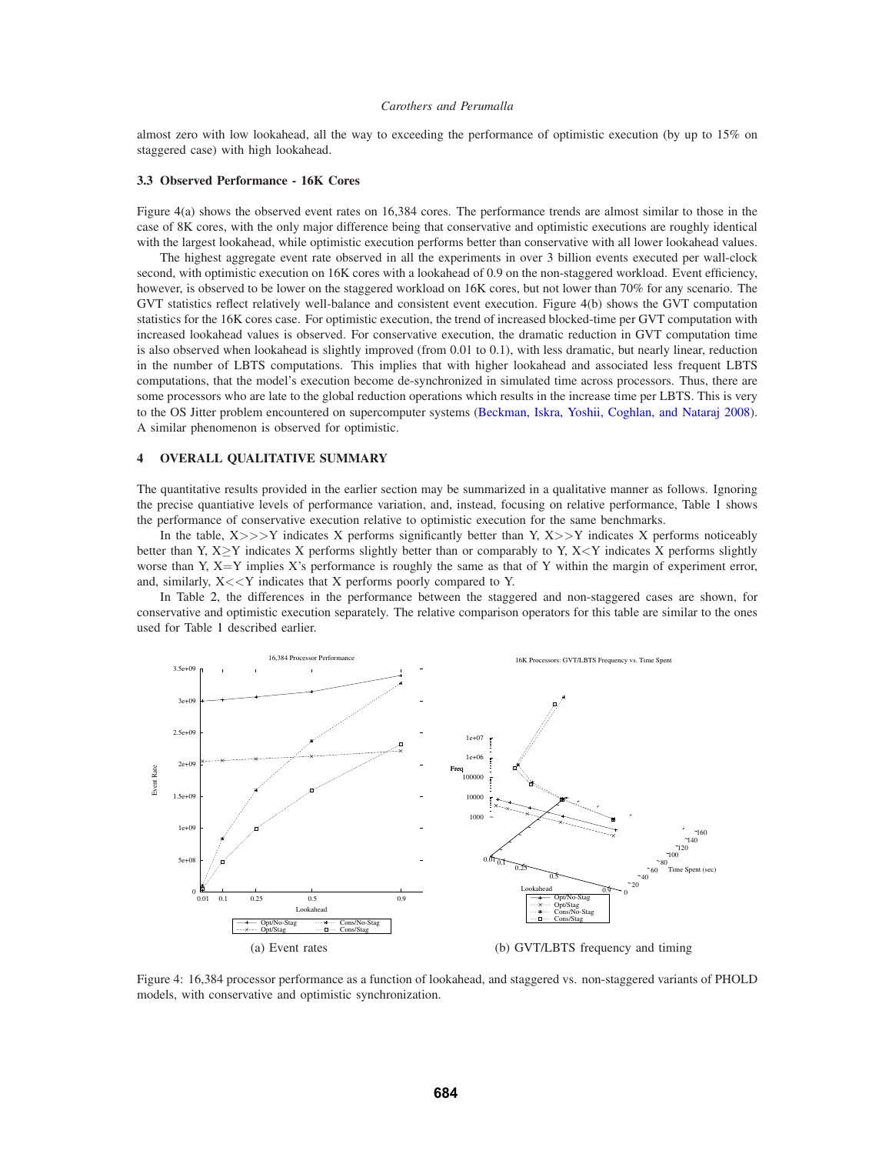almost zero with low lookahead, all the way to exceeding the performance of optimistic execution (by up to 15% on staggered case) with high lookahead.

#### **3.3 Observed Performance - 16K Cores**

Figure 4(a) shows the observed event rates on 16,384 cores. The performance trends are almost similar to those in the case of 8K cores, with the only major difference being that conservative and optimistic executions are roughly identical with the largest lookahead, while optimistic execution performs better than conservative with all lower lookahead values.

The highest aggregate event rate observed in all the experiments in over 3 billion events executed per wall-clock second, with optimistic execution on 16K cores with a lookahead of 0.9 on the non-staggered workload. Event efficiency, however, is observed to be lower on the staggered workload on 16K cores, but not lower than 70% for any scenario. The GVT statistics reflect relatively well-balance and consistent event execution. Figure 4(b) shows the GVT computation statistics for the 16K cores case. For optimistic execution, the trend of increased blocked-time per GVT computation with increased lookahead values is observed. For conservative execution, the dramatic reduction in GVT computation time is also observed when lookahead is slightly improved (from 0.01 to 0.1), with less dramatic, but nearly linear, reduction in the number of LBTS computations. This implies that with higher lookahead and associated less frequent LBTS computations, that the model's execution become de-synchronized in simulated time across processors. Thus, there are some processors who are late to the global reduction operations which results in the increase time per LBTS. This is very to the OS Jitter problem encountered on supercomputer systems (Beckman, Iskra, Yoshii, Coghlan, and Nataraj 2008). A similar phenomenon is observed for optimistic.

## **4 OVERALL QUALITATIVE SUMMARY**

The quantitative results provided in the earlier section may be summarized in a qualitative manner as follows. Ignoring the precise quantiative levels of performance variation, and, instead, focusing on relative performance, Table 1 shows the performance of conservative execution relative to optimistic execution for the same benchmarks.

In the table,  $X \gg>> Y$  indicates X performs significantly better than Y,  $X \gg Y$  indicates X performs noticeably better than Y, X≥Y indicates X performs slightly better than or comparably to Y, X<Y indicates X performs slightly worse than Y,  $X = Y$  implies X's performance is roughly the same as that of Y within the margin of experiment error, and, similarly,  $X \ll Y$  indicates that X performs poorly compared to Y.

In Table 2, the differences in the performance between the staggered and non-staggered cases are shown, for conservative and optimistic execution separately. The relative comparison operators for this table are similar to the ones used for Table 1 described earlier.



Figure 4: 16,384 processor performance as a function of lookahead, and staggered vs. non-staggered variants of PHOLD models, with conservative and optimistic synchronization.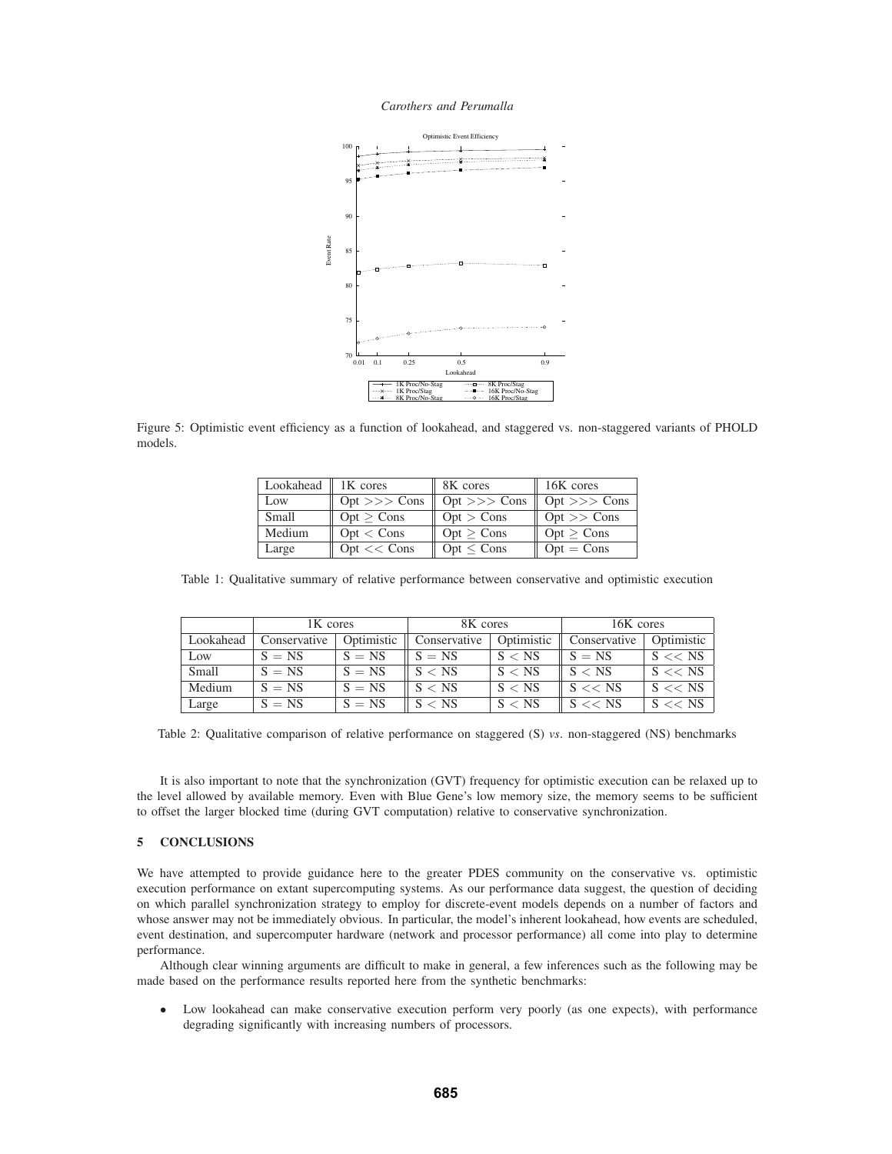*Carothers and Perumalla*



Figure 5: Optimistic event efficiency as a function of lookahead, and staggered vs. non-staggered variants of PHOLD models.

| Lookahead $\parallel$ 1K cores |                       | 8K cores         | 16K cores        |
|--------------------------------|-----------------------|------------------|------------------|
| Low                            | $Opt \gg>> Cons$      | $Opt \gg >$ Cons | $Opt \gg >$ Cons |
| Small                          | Opt > Cons            | Opt > Cons       | $Opt \gg Cons$   |
| Medium                         | Opt < Cons            | Opt > Cons       | Opt > Cons       |
| Large                          | $Opt \ll \text{Cons}$ | $Opt \leq Cons$  | $Opt = Cons$     |

Table 1: Qualitative summary of relative performance between conservative and optimistic execution

|           | 1K cores     |            | 8K cores     |            | 16K cores    |            |
|-----------|--------------|------------|--------------|------------|--------------|------------|
| Lookahead | Conservative | Optimistic | Conservative | Optimistic | Conservative | Optimistic |
| Low       | $S = NS$     | $S = NS$   | $S = NS$     | S < NS     | $S = NS$     | $S \ll NS$ |
| Small     | $S = NS$     | $S = NS$   | S < NS       | S < NS     | S < NS       | $S \ll NS$ |
| Medium    | $S = NS$     | $S = NS$   | S < NS       | S < NS     | $S \ll SNS$  | $S \ll NS$ |
| Large     | $S = NS$     | $S = NS$   | S < NS       | S < NS     | $S \ll NS$   | $S \ll NS$ |

Table 2: Qualitative comparison of relative performance on staggered (S) *vs*. non-staggered (NS) benchmarks

It is also important to note that the synchronization (GVT) frequency for optimistic execution can be relaxed up to the level allowed by available memory. Even with Blue Gene's low memory size, the memory seems to be sufficient to offset the larger blocked time (during GVT computation) relative to conservative synchronization.

## **5 CONCLUSIONS**

We have attempted to provide guidance here to the greater PDES community on the conservative vs. optimistic execution performance on extant supercomputing systems. As our performance data suggest, the question of deciding on which parallel synchronization strategy to employ for discrete-event models depends on a number of factors and whose answer may not be immediately obvious. In particular, the model's inherent lookahead, how events are scheduled, event destination, and supercomputer hardware (network and processor performance) all come into play to determine performance.

Although clear winning arguments are difficult to make in general, a few inferences such as the following may be made based on the performance results reported here from the synthetic benchmarks:

• Low lookahead can make conservative execution perform very poorly (as one expects), with performance degrading significantly with increasing numbers of processors.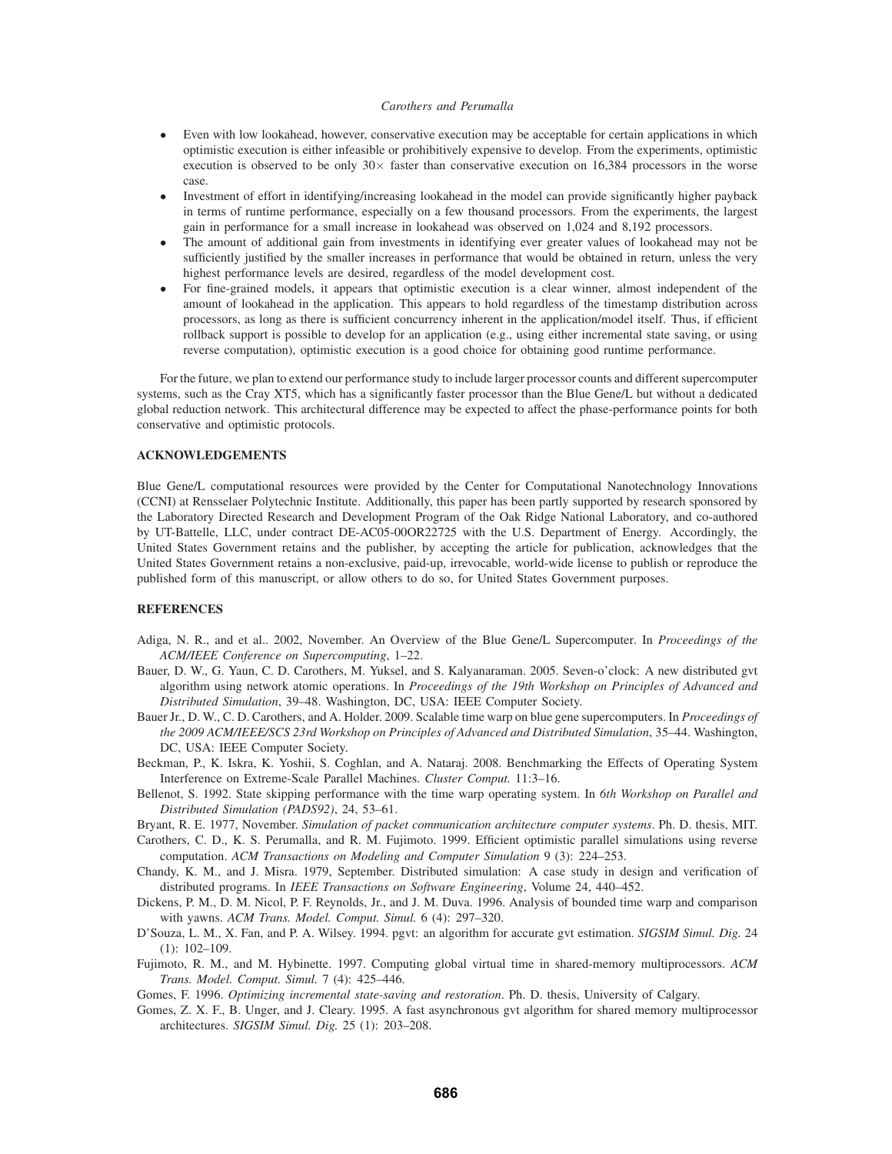- Even with low lookahead, however, conservative execution may be acceptable for certain applications in which optimistic execution is either infeasible or prohibitively expensive to develop. From the experiments, optimistic execution is observed to be only  $30\times$  faster than conservative execution on 16,384 processors in the worse case.
- Investment of effort in identifying/increasing lookahead in the model can provide significantly higher payback in terms of runtime performance, especially on a few thousand processors. From the experiments, the largest gain in performance for a small increase in lookahead was observed on 1,024 and 8,192 processors.
- The amount of additional gain from investments in identifying ever greater values of lookahead may not be sufficiently justified by the smaller increases in performance that would be obtained in return, unless the very highest performance levels are desired, regardless of the model development cost.
- For fine-grained models, it appears that optimistic execution is a clear winner, almost independent of the amount of lookahead in the application. This appears to hold regardless of the timestamp distribution across processors, as long as there is sufficient concurrency inherent in the application/model itself. Thus, if efficient rollback support is possible to develop for an application (e.g., using either incremental state saving, or using reverse computation), optimistic execution is a good choice for obtaining good runtime performance.

For the future, we plan to extend our performance study to include larger processor counts and different supercomputer systems, such as the Cray XT5, which has a significantly faster processor than the Blue Gene/L but without a dedicated global reduction network. This architectural difference may be expected to affect the phase-performance points for both conservative and optimistic protocols.

## **ACKNOWLEDGEMENTS**

Blue Gene/L computational resources were provided by the Center for Computational Nanotechnology Innovations (CCNI) at Rensselaer Polytechnic Institute. Additionally, this paper has been partly supported by research sponsored by the Laboratory Directed Research and Development Program of the Oak Ridge National Laboratory, and co-authored by UT-Battelle, LLC, under contract DE-AC05-00OR22725 with the U.S. Department of Energy. Accordingly, the United States Government retains and the publisher, by accepting the article for publication, acknowledges that the United States Government retains a non-exclusive, paid-up, irrevocable, world-wide license to publish or reproduce the published form of this manuscript, or allow others to do so, for United States Government purposes.

## **REFERENCES**

- Adiga, N. R., and et al.. 2002, November. An Overview of the Blue Gene/L Supercomputer. In *Proceedings of the ACM/IEEE Conference on Supercomputing*, 1–22.
- Bauer, D. W., G. Yaun, C. D. Carothers, M. Yuksel, and S. Kalyanaraman. 2005. Seven-o'clock: A new distributed gvt algorithm using network atomic operations. In *Proceedings of the 19th Workshop on Principles of Advanced and Distributed Simulation*, 39–48. Washington, DC, USA: IEEE Computer Society.
- Bauer Jr., D. W., C. D. Carothers, and A. Holder. 2009. Scalable time warp on blue gene supercomputers. In *Proceedings of the 2009 ACM/IEEE/SCS 23rd Workshop on Principles of Advanced and Distributed Simulation*, 35–44. Washington, DC, USA: IEEE Computer Society.
- Beckman, P., K. Iskra, K. Yoshii, S. Coghlan, and A. Nataraj. 2008. Benchmarking the Effects of Operating System Interference on Extreme-Scale Parallel Machines. *Cluster Comput.* 11:3–16.
- Bellenot, S. 1992. State skipping performance with the time warp operating system. In *6th Workshop on Parallel and Distributed Simulation (PADS92)*, 24, 53–61.
- Bryant, R. E. 1977, November. *Simulation of packet communication architecture computer systems*. Ph. D. thesis, MIT.
- Carothers, C. D., K. S. Perumalla, and R. M. Fujimoto. 1999. Efficient optimistic parallel simulations using reverse computation. *ACM Transactions on Modeling and Computer Simulation* 9 (3): 224–253.
- Chandy, K. M., and J. Misra. 1979, September. Distributed simulation: A case study in design and verification of distributed programs. In *IEEE Transactions on Software Engineering*, Volume 24, 440–452.
- Dickens, P. M., D. M. Nicol, P. F. Reynolds, Jr., and J. M. Duva. 1996. Analysis of bounded time warp and comparison with yawns. *ACM Trans. Model. Comput. Simul.* 6 (4): 297–320.
- D'Souza, L. M., X. Fan, and P. A. Wilsey. 1994. pgvt: an algorithm for accurate gvt estimation. *SIGSIM Simul. Dig.* 24 (1): 102–109.
- Fujimoto, R. M., and M. Hybinette. 1997. Computing global virtual time in shared-memory multiprocessors. *ACM Trans. Model. Comput. Simul.* 7 (4): 425–446.

Gomes, F. 1996. *Optimizing incremental state-saving and restoration*. Ph. D. thesis, University of Calgary.

Gomes, Z. X. F., B. Unger, and J. Cleary. 1995. A fast asynchronous gvt algorithm for shared memory multiprocessor architectures. *SIGSIM Simul. Dig.* 25 (1): 203–208.